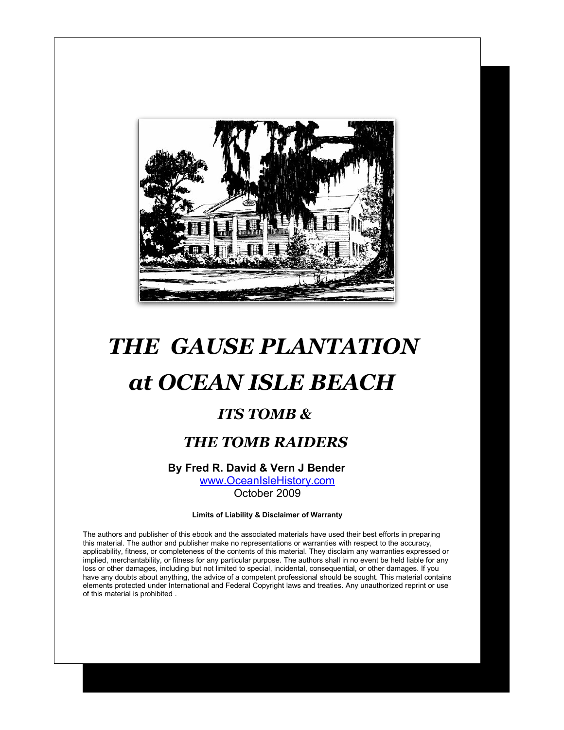

# *THE GAUSE PLANTATION*

# *at OCEAN ISLE BEACH*

### *ITS TOMB &*

### *THE TOMB RAIDERS*

#### **By Fred R. David & Vern J Bender**

[www.OceanIsleHistory.com](file:///C:/Documents and Settings/Bruce/Desktop/A WEBER/www.URLgoesHere.com) October 2009

**Limits of Liability & Disclaimer of Warranty**

The authors and publisher of this ebook and the associated materials have used their best efforts in preparing this material. The author and publisher make no representations or warranties with respect to the accuracy, applicability, fitness, or completeness of the contents of this material. They disclaim any warranties expressed or implied, merchantability, or fitness for any particular purpose. The authors shall in no event be held liable for any loss or other damages, including but not limited to special, incidental, consequential, or other damages. If you have any doubts about anything, the advice of a competent professional should be sought. This material contains elements protected under International and Federal Copyright laws and treaties. Any unauthorized reprint or use of this material is prohibited .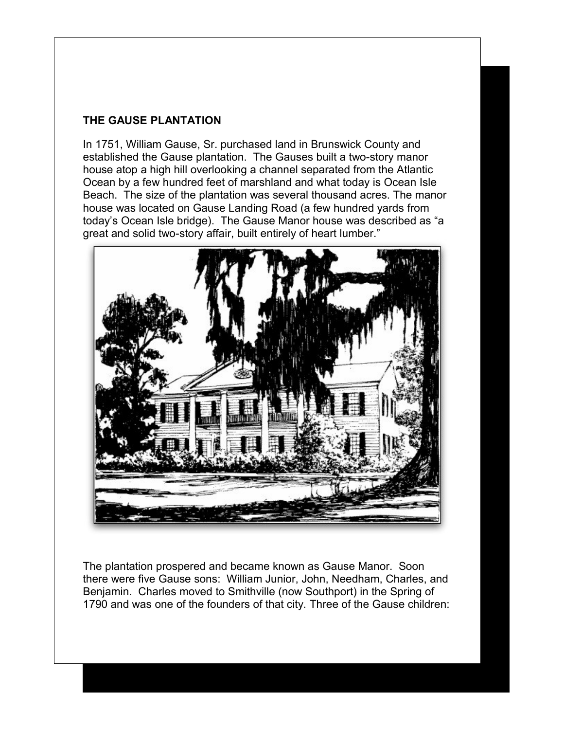#### **THE GAUSE PLANTATION**

In 1751, William Gause, Sr. purchased land in Brunswick County and established the Gause plantation. The Gauses built a two-story manor house atop a high hill overlooking a channel separated from the Atlantic Ocean by a few hundred feet of marshland and what today is Ocean Isle Beach. The size of the plantation was several thousand acres. The manor house was located on Gause Landing Road (a few hundred yards from today's Ocean Isle bridge). The Gause Manor house was described as "a great and solid two-story affair, built entirely of heart lumber."



The plantation prospered and became known as Gause Manor. Soon there were five Gause sons: William Junior, John, Needham, Charles, and Benjamin. Charles moved to Smithville (now Southport) in the Spring of 1790 and was one of the founders of that city. Three of the Gause children: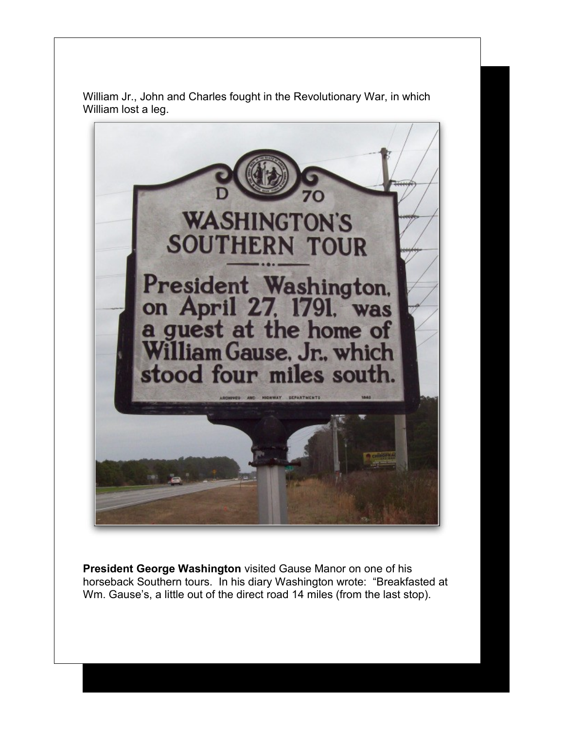

William Jr., John and Charles fought in the Revolutionary War, in which William lost a leg.

**President George Washington** visited Gause Manor on one of his horseback Southern tours. In his diary Washington wrote: "Breakfasted at Wm. Gause's, a little out of the direct road 14 miles (from the last stop).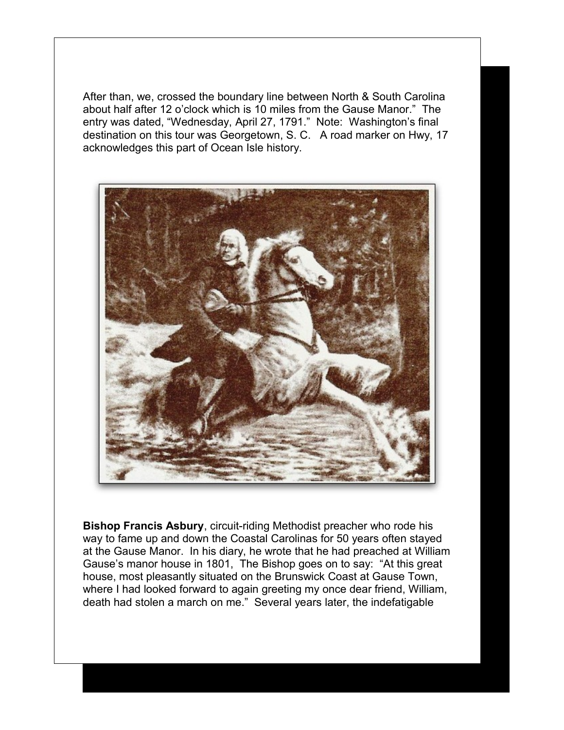After than, we, crossed the boundary line between North & South Carolina about half after 12 o'clock which is 10 miles from the Gause Manor." The entry was dated, "Wednesday, April 27, 1791." Note: Washington's final destination on this tour was Georgetown, S. C. A road marker on Hwy, 17 acknowledges this part of Ocean Isle history.



**Bishop Francis Asbury**, circuit-riding Methodist preacher who rode his way to fame up and down the Coastal Carolinas for 50 years often stayed at the Gause Manor. In his diary, he wrote that he had preached at William Gause's manor house in 1801, The Bishop goes on to say: "At this great house, most pleasantly situated on the Brunswick Coast at Gause Town, where I had looked forward to again greeting my once dear friend, William, death had stolen a march on me." Several years later, the indefatigable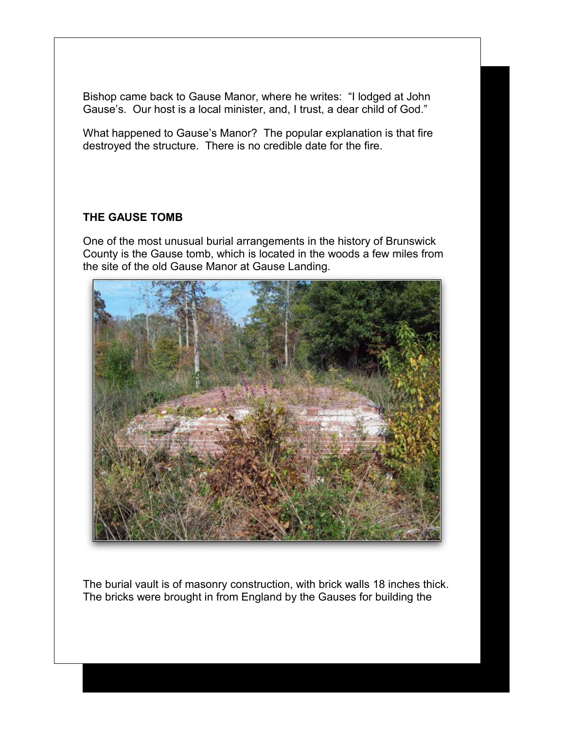Bishop came back to Gause Manor, where he writes: "I lodged at John Gause's. Our host is a local minister, and, I trust, a dear child of God."

What happened to Gause's Manor? The popular explanation is that fire destroyed the structure. There is no credible date for the fire.

#### **THE GAUSE TOMB**

One of the most unusual burial arrangements in the history of Brunswick County is the Gause tomb, which is located in the woods a few miles from the site of the old Gause Manor at Gause Landing.



The burial vault is of masonry construction, with brick walls 18 inches thick. The bricks were brought in from England by the Gauses for building the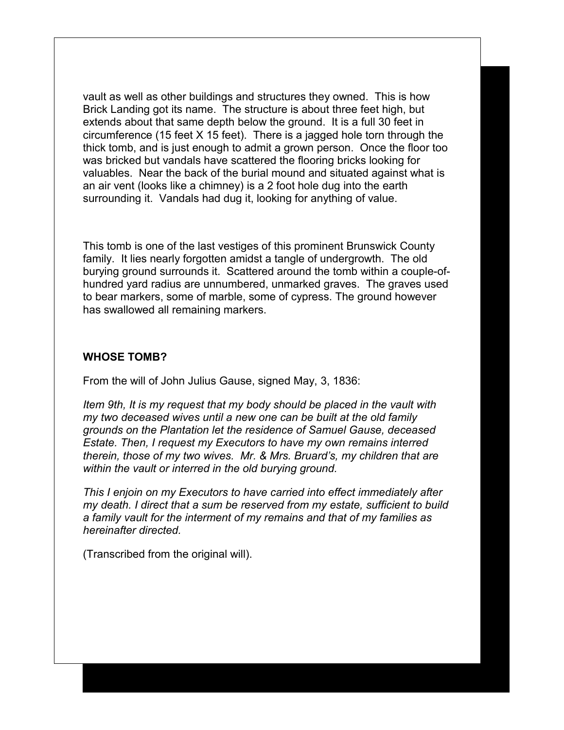vault as well as other buildings and structures they owned. This is how Brick Landing got its name. The structure is about three feet high, but extends about that same depth below the ground. It is a full 30 feet in circumference (15 feet X 15 feet). There is a jagged hole torn through the thick tomb, and is just enough to admit a grown person. Once the floor too was bricked but vandals have scattered the flooring bricks looking for valuables. Near the back of the burial mound and situated against what is an air vent (looks like a chimney) is a 2 foot hole dug into the earth surrounding it. Vandals had dug it, looking for anything of value.

This tomb is one of the last vestiges of this prominent Brunswick County family. It lies nearly forgotten amidst a tangle of undergrowth. The old burying ground surrounds it. Scattered around the tomb within a couple-ofhundred yard radius are unnumbered, unmarked graves. The graves used to bear markers, some of marble, some of cypress. The ground however has swallowed all remaining markers.

#### **WHOSE TOMB?**

From the will of John Julius Gause, signed May, 3, 1836:

*Item 9th, It is my request that my body should be placed in the vault with my two deceased wives until a new one can be built at the old family grounds on the Plantation let the residence of Samuel Gause, deceased Estate. Then, I request my Executors to have my own remains interred therein, those of my two wives. Mr. & Mrs. Bruard's, my children that are within the vault or interred in the old burying ground.*

*This I enjoin on my Executors to have carried into effect immediately after my death. I direct that a sum be reserved from my estate, sufficient to build a family vault for the interment of my remains and that of my families as hereinafter directed.*

(Transcribed from the original will).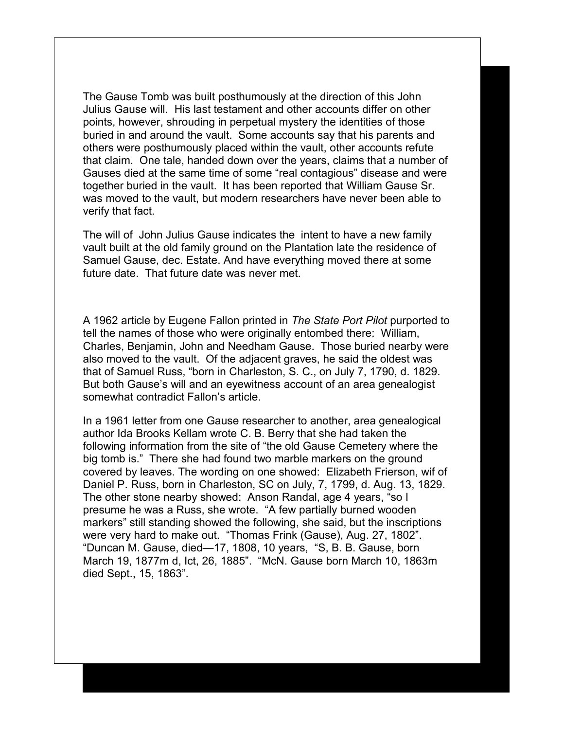The Gause Tomb was built posthumously at the direction of this John Julius Gause will. His last testament and other accounts differ on other points, however, shrouding in perpetual mystery the identities of those buried in and around the vault. Some accounts say that his parents and others were posthumously placed within the vault, other accounts refute that claim. One tale, handed down over the years, claims that a number of Gauses died at the same time of some "real contagious" disease and were together buried in the vault. It has been reported that William Gause Sr. was moved to the vault, but modern researchers have never been able to verify that fact.

The will of John Julius Gause indicates the intent to have a new family vault built at the old family ground on the Plantation late the residence of Samuel Gause, dec. Estate. And have everything moved there at some future date. That future date was never met.

A 1962 article by Eugene Fallon printed in *The State Port Pilot* purported to tell the names of those who were originally entombed there: William, Charles, Benjamin, John and Needham Gause. Those buried nearby were also moved to the vault. Of the adjacent graves, he said the oldest was that of Samuel Russ, "born in Charleston, S. C., on July 7, 1790, d. 1829. But both Gause's will and an eyewitness account of an area genealogist somewhat contradict Fallon's article.

In a 1961 letter from one Gause researcher to another, area genealogical author Ida Brooks Kellam wrote C. B. Berry that she had taken the following information from the site of "the old Gause Cemetery where the big tomb is." There she had found two marble markers on the ground covered by leaves. The wording on one showed: Elizabeth Frierson, wif of Daniel P. Russ, born in Charleston, SC on July, 7, 1799, d. Aug. 13, 1829. The other stone nearby showed: Anson Randal, age 4 years, "so I presume he was a Russ, she wrote. "A few partially burned wooden markers" still standing showed the following, she said, but the inscriptions were very hard to make out. "Thomas Frink (Gause), Aug. 27, 1802". "Duncan M. Gause, died—17, 1808, 10 years, "S, B. B. Gause, born March 19, 1877m d, Ict, 26, 1885". "McN. Gause born March 10, 1863m died Sept., 15, 1863".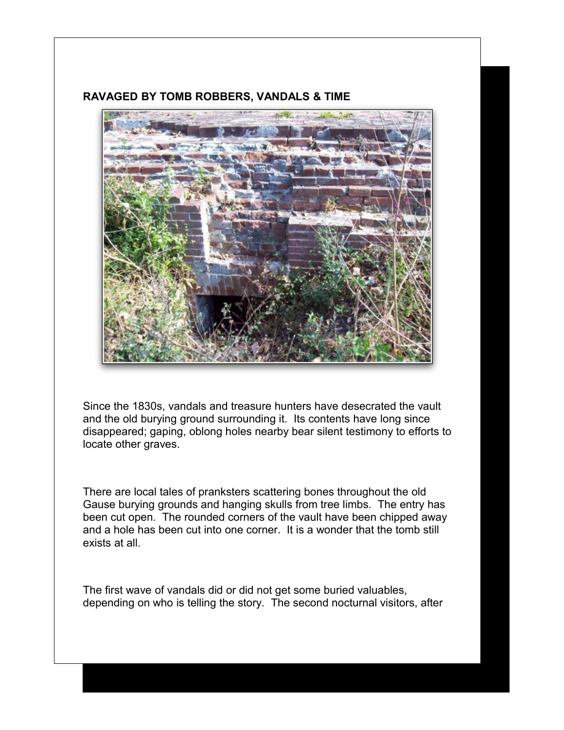

#### **RAVAGED BY TOMB ROBBERS, VANDALS & TIME**

Since the 1830s, vandals and treasure hunters have desecrated the vault and the old burying ground surrounding it. Its contents have long since disappeared; gaping, oblong holes nearby bear silent testimony to efforts to locate other graves.

There are local tales of pranksters scattering bones throughout the old Gause burying grounds and hanging skulls from tree limbs. The entry has been cut open. The rounded corners of the vault have been chipped away and a hole has been cut into one corner. It is a wonder that the tomb still exists at all.

The first wave of vandals did or did not get some buried valuables, depending on who is telling the story. The second nocturnal visitors, after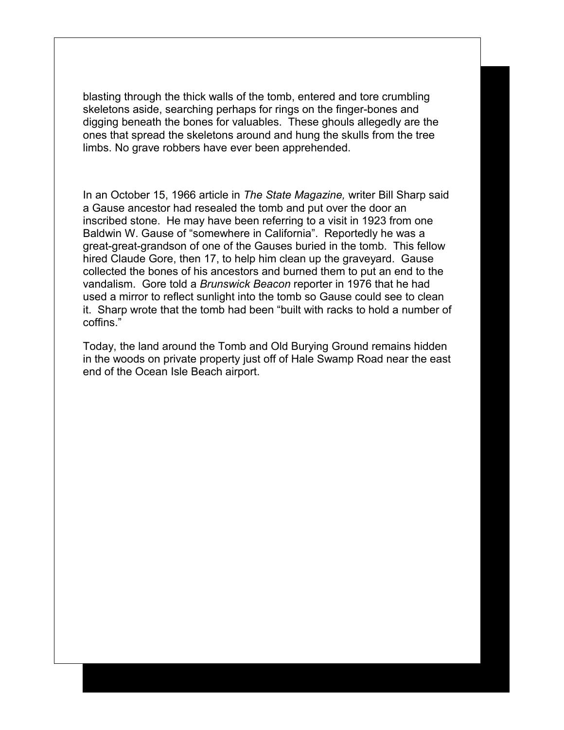blasting through the thick walls of the tomb, entered and tore crumbling skeletons aside, searching perhaps for rings on the finger-bones and digging beneath the bones for valuables. These ghouls allegedly are the ones that spread the skeletons around and hung the skulls from the tree limbs. No grave robbers have ever been apprehended.

In an October 15, 1966 article in *The State Magazine,* writer Bill Sharp said a Gause ancestor had resealed the tomb and put over the door an inscribed stone. He may have been referring to a visit in 1923 from one Baldwin W. Gause of "somewhere in California". Reportedly he was a great-great-grandson of one of the Gauses buried in the tomb. This fellow hired Claude Gore, then 17, to help him clean up the graveyard. Gause collected the bones of his ancestors and burned them to put an end to the vandalism. Gore told a *Brunswick Beacon* reporter in 1976 that he had used a mirror to reflect sunlight into the tomb so Gause could see to clean it. Sharp wrote that the tomb had been "built with racks to hold a number of coffins."

Today, the land around the Tomb and Old Burying Ground remains hidden in the woods on private property just off of Hale Swamp Road near the east end of the Ocean Isle Beach airport.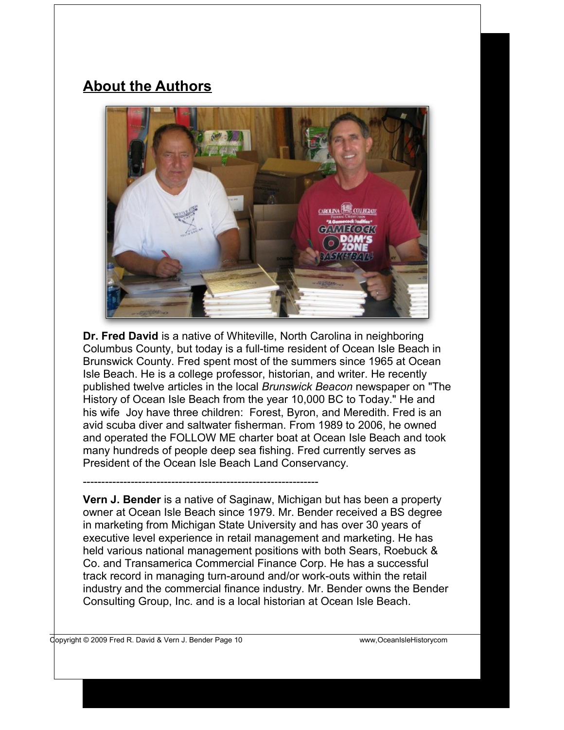## **About the Authors**



**Dr. Fred David** is a native of Whiteville, North Carolina in neighboring Columbus County, but today is a full-time resident of Ocean Isle Beach in Brunswick County. Fred spent most of the summers since 1965 at Ocean Isle Beach. He is a college professor, historian, and writer. He recently published twelve articles in the local *Brunswick Beacon* newspaper on "The History of Ocean Isle Beach from the year 10,000 BC to Today." He and his wife Joy have three children: Forest, Byron, and Meredith. Fred is an avid scuba diver and saltwater fisherman. From 1989 to 2006, he owned and operated the FOLLOW ME charter boat at Ocean Isle Beach and took many hundreds of people deep sea fishing. Fred currently serves as President of the Ocean Isle Beach Land Conservancy.

**Vern J. Bender** is a native of Saginaw, Michigan but has been a property owner at Ocean Isle Beach since 1979. Mr. Bender received a BS degree in marketing from Michigan State University and has over 30 years of executive level experience in retail management and marketing. He has held various national management positions with both Sears, Roebuck & Co. and Transamerica Commercial Finance Corp. He has a successful track record in managing turn-around and/or work-outs within the retail industry and the commercial finance industry. Mr. Bender owns the Bender Consulting Group, Inc. and is a local historian at Ocean Isle Beach.

----------------------------------------------------------------